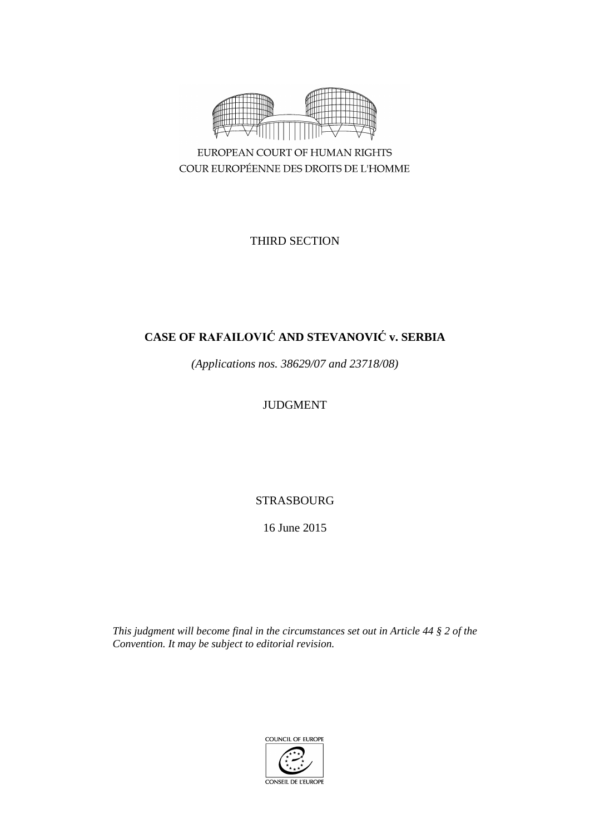

EUROPEAN COURT OF HUMAN RIGHTS COUR EUROPÉENNE DES DROITS DE L'HOMME

THIRD SECTION

# **CASE OF RAFAILOVIĆ AND STEVANOVIĆ v. SERBIA**

*(Applications nos. 38629/07 and 23718/08)*

# JUDGMENT

STRASBOURG

16 June 2015

*This judgment will become final in the circumstances set out in Article 44 § 2 of the Convention. It may be subject to editorial revision.*

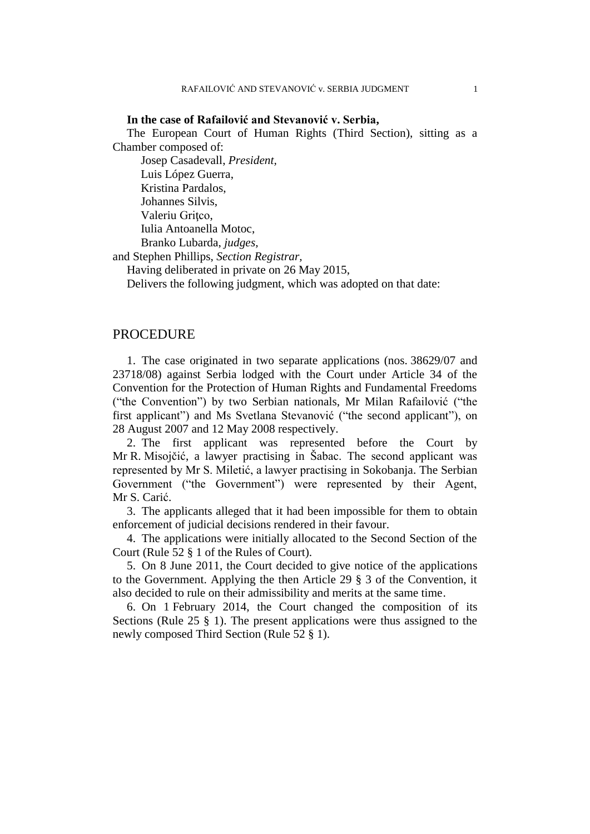#### **In the case of Rafailović and Stevanović v. Serbia,**

The European Court of Human Rights (Third Section), sitting as a Chamber composed of:

Josep Casadevall, *President,* Luis López Guerra, Kristina Pardalos, Johannes Silvis, Valeriu Gritco, Iulia Antoanella Motoc, Branko Lubarda, *judges,*

and Stephen Phillips, *Section Registrar,*

Having deliberated in private on 26 May 2015,

Delivers the following judgment, which was adopted on that date:

# PROCEDURE

1. The case originated in two separate applications (nos. 38629/07 and 23718/08) against Serbia lodged with the Court under Article 34 of the Convention for the Protection of Human Rights and Fundamental Freedoms ("the Convention") by two Serbian nationals, Mr Milan Rafailović ("the first applicant") and Ms Svetlana Stevanović ("the second applicant"), on 28 August 2007 and 12 May 2008 respectively.

2. The first applicant was represented before the Court by Mr R. Misojčić, a lawyer practising in Šabac. The second applicant was represented by Mr S. Miletić, a lawyer practising in Sokobanja. The Serbian Government ("the Government") were represented by their Agent, Mr S. Carić.

3. The applicants alleged that it had been impossible for them to obtain enforcement of judicial decisions rendered in their favour.

4. The applications were initially allocated to the Second Section of the Court (Rule 52 § 1 of the Rules of Court).

5. On 8 June 2011, the Court decided to give notice of the applications to the Government. Applying the then Article 29 § 3 of the Convention, it also decided to rule on their admissibility and merits at the same time.

6. On 1 February 2014, the Court changed the composition of its Sections (Rule 25 § 1). The present applications were thus assigned to the newly composed Third Section (Rule 52 § 1).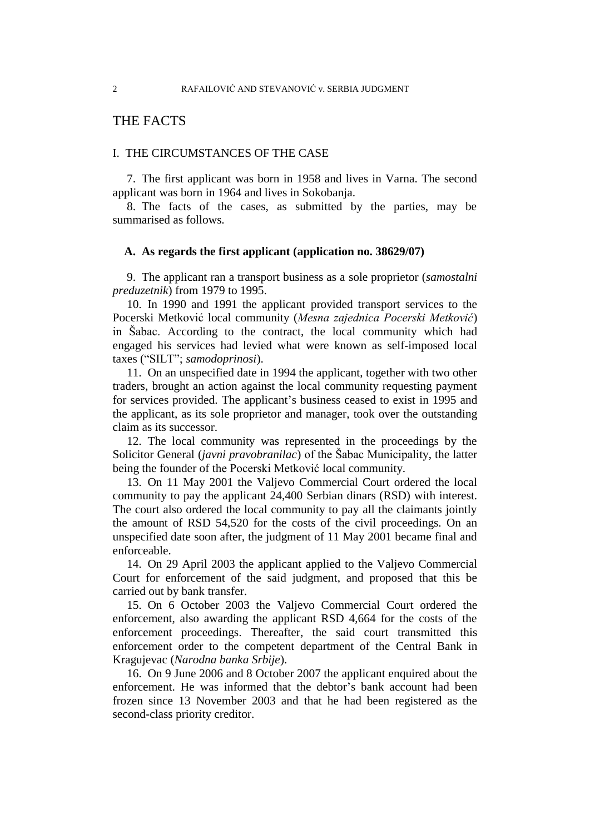# THE FACTS

### I. THE CIRCUMSTANCES OF THE CASE

7. The first applicant was born in 1958 and lives in Varna. The second applicant was born in 1964 and lives in Sokobanja.

8. The facts of the cases, as submitted by the parties, may be summarised as follows.

#### **A. As regards the first applicant (application no. 38629/07)**

9. The applicant ran a transport business as a sole proprietor (*samostalni preduzetnik*) from 1979 to 1995.

10. In 1990 and 1991 the applicant provided transport services to the Pocerski Metković local community (*Mesna zajednica Pocerski Metković*) in Šabac. According to the contract, the local community which had engaged his services had levied what were known as self-imposed local taxes ("SILT"; *samodoprinosi*).

11. On an unspecified date in 1994 the applicant, together with two other traders, brought an action against the local community requesting payment for services provided. The applicant's business ceased to exist in 1995 and the applicant, as its sole proprietor and manager, took over the outstanding claim as its successor.

12. The local community was represented in the proceedings by the Solicitor General (*javni pravobranilac*) of the Šabac Municipality, the latter being the founder of the Pocerski Metković local community.

13. On 11 May 2001 the Valjevo Commercial Court ordered the local community to pay the applicant 24,400 Serbian dinars (RSD) with interest. The court also ordered the local community to pay all the claimants jointly the amount of RSD 54,520 for the costs of the civil proceedings. On an unspecified date soon after, the judgment of 11 May 2001 became final and enforceable.

14. On 29 April 2003 the applicant applied to the Valjevo Commercial Court for enforcement of the said judgment, and proposed that this be carried out by bank transfer.

15. On 6 October 2003 the Valjevo Commercial Court ordered the enforcement, also awarding the applicant RSD 4,664 for the costs of the enforcement proceedings. Thereafter, the said court transmitted this enforcement order to the competent department of the Central Bank in Kragujevac (*Narodna banka Srbije*).

16. On 9 June 2006 and 8 October 2007 the applicant enquired about the enforcement. He was informed that the debtor's bank account had been frozen since 13 November 2003 and that he had been registered as the second-class priority creditor.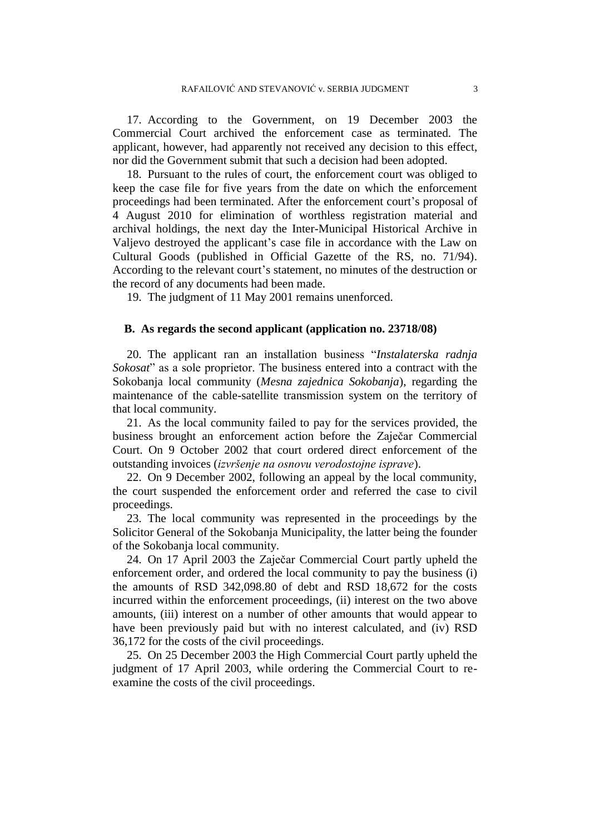17. According to the Government, on 19 December 2003 the Commercial Court archived the enforcement case as terminated. The applicant, however, had apparently not received any decision to this effect, nor did the Government submit that such a decision had been adopted.

18. Pursuant to the rules of court, the enforcement court was obliged to keep the case file for five years from the date on which the enforcement proceedings had been terminated. After the enforcement court's proposal of 4 August 2010 for elimination of worthless registration material and archival holdings, the next day the Inter-Municipal Historical Archive in Valjevo destroyed the applicant's case file in accordance with the Law on Cultural Goods (published in Official Gazette of the RS, no. 71/94). According to the relevant court's statement, no minutes of the destruction or the record of any documents had been made.

19. The judgment of 11 May 2001 remains unenforced.

#### **B. As regards the second applicant (application no. 23718/08)**

20. The applicant ran an installation business "*Instalaterska radnja Sokosat*" as a sole proprietor. The business entered into a contract with the Sokobanja local community (*Mesna zajednica Sokobanja*), regarding the maintenance of the cable-satellite transmission system on the territory of that local community.

21. As the local community failed to pay for the services provided, the business brought an enforcement action before the Zaječar Commercial Court. On 9 October 2002 that court ordered direct enforcement of the outstanding invoices (*izvršenje na osnovu verodostojne isprave*).

22. On 9 December 2002, following an appeal by the local community, the court suspended the enforcement order and referred the case to civil proceedings.

23. The local community was represented in the proceedings by the Solicitor General of the Sokobanja Municipality, the latter being the founder of the Sokobanja local community.

24. On 17 April 2003 the Zaječar Commercial Court partly upheld the enforcement order, and ordered the local community to pay the business (i) the amounts of RSD 342,098.80 of debt and RSD 18,672 for the costs incurred within the enforcement proceedings, (ii) interest on the two above amounts, (iii) interest on a number of other amounts that would appear to have been previously paid but with no interest calculated, and (iv) RSD 36,172 for the costs of the civil proceedings.

25. On 25 December 2003 the High Commercial Court partly upheld the judgment of 17 April 2003, while ordering the Commercial Court to reexamine the costs of the civil proceedings.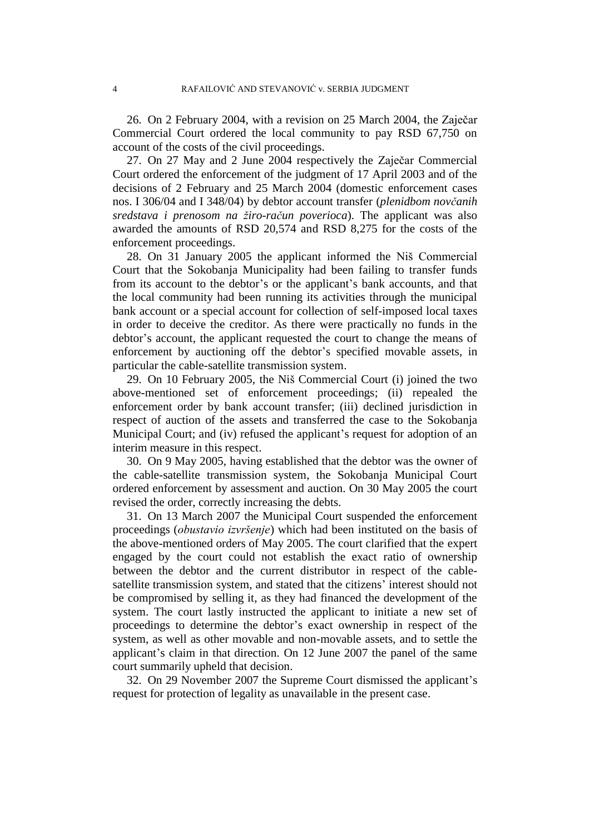26. On 2 February 2004, with a revision on 25 March 2004, the Zaječar Commercial Court ordered the local community to pay RSD 67,750 on account of the costs of the civil proceedings.

27. On 27 May and 2 June 2004 respectively the Zaječar Commercial Court ordered the enforcement of the judgment of 17 April 2003 and of the decisions of 2 February and 25 March 2004 (domestic enforcement cases nos. I 306/04 and I 348/04) by debtor account transfer (*plenidbom novčanih sredstava i prenosom na žiro-račun poverioca*). The applicant was also awarded the amounts of RSD 20,574 and RSD 8,275 for the costs of the enforcement proceedings.

28. On 31 January 2005 the applicant informed the Niš Commercial Court that the Sokobanja Municipality had been failing to transfer funds from its account to the debtor's or the applicant's bank accounts, and that the local community had been running its activities through the municipal bank account or a special account for collection of self-imposed local taxes in order to deceive the creditor. As there were practically no funds in the debtor's account, the applicant requested the court to change the means of enforcement by auctioning off the debtor's specified movable assets, in particular the cable-satellite transmission system.

29. On 10 February 2005, the Niš Commercial Court (i) joined the two above-mentioned set of enforcement proceedings; (ii) repealed the enforcement order by bank account transfer; (iii) declined jurisdiction in respect of auction of the assets and transferred the case to the Sokobanja Municipal Court; and (iv) refused the applicant's request for adoption of an interim measure in this respect.

30. On 9 May 2005, having established that the debtor was the owner of the cable-satellite transmission system, the Sokobanja Municipal Court ordered enforcement by assessment and auction. On 30 May 2005 the court revised the order, correctly increasing the debts.

31. On 13 March 2007 the Municipal Court suspended the enforcement proceedings (*obustavio izvršenje*) which had been instituted on the basis of the above-mentioned orders of May 2005. The court clarified that the expert engaged by the court could not establish the exact ratio of ownership between the debtor and the current distributor in respect of the cablesatellite transmission system, and stated that the citizens' interest should not be compromised by selling it, as they had financed the development of the system. The court lastly instructed the applicant to initiate a new set of proceedings to determine the debtor's exact ownership in respect of the system, as well as other movable and non-movable assets, and to settle the applicant's claim in that direction. On 12 June 2007 the panel of the same court summarily upheld that decision.

32. On 29 November 2007 the Supreme Court dismissed the applicant's request for protection of legality as unavailable in the present case.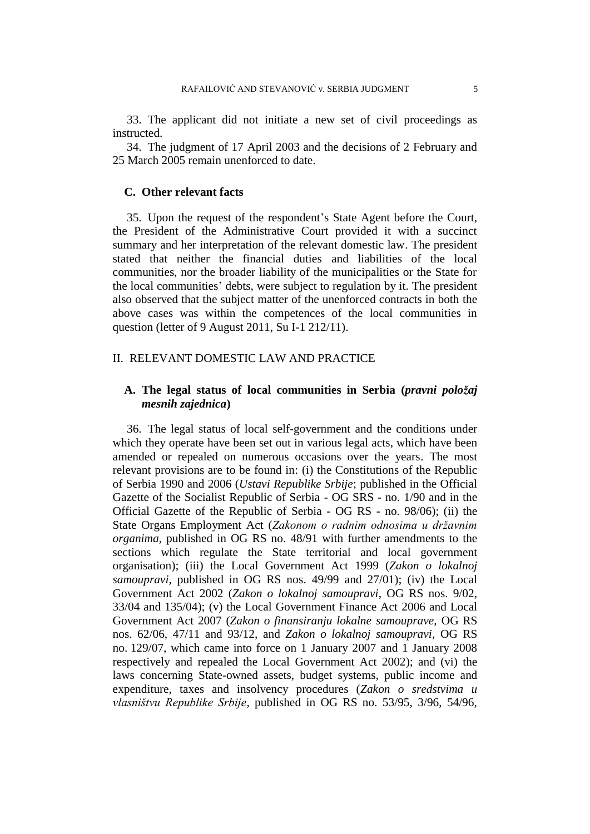33. The applicant did not initiate a new set of civil proceedings as instructed.

34. The judgment of 17 April 2003 and the decisions of 2 February and 25 March 2005 remain unenforced to date.

## **C. Other relevant facts**

35. Upon the request of the respondent's State Agent before the Court, the President of the Administrative Court provided it with a succinct summary and her interpretation of the relevant domestic law. The president stated that neither the financial duties and liabilities of the local communities, nor the broader liability of the municipalities or the State for the local communities' debts, were subject to regulation by it. The president also observed that the subject matter of the unenforced contracts in both the above cases was within the competences of the local communities in question (letter of 9 August 2011, Su I-1 212/11).

## II. RELEVANT DOMESTIC LAW AND PRACTICE

# **A. The legal status of local communities in Serbia (***pravni položaj mesnih zajednica***)**

36. The legal status of local self-government and the conditions under which they operate have been set out in various legal acts, which have been amended or repealed on numerous occasions over the years. The most relevant provisions are to be found in: (i) the Constitutions of the Republic of Serbia 1990 and 2006 (*Ustavi Republike Srbije*; published in the Official Gazette of the Socialist Republic of Serbia - OG SRS - no. 1/90 and in the Official Gazette of the Republic of Serbia - OG RS - no. 98/06); (ii) the State Organs Employment Act (*Zakonom o radnim odnosima u državnim organima*, published in OG RS no. 48/91 with further amendments to the sections which regulate the State territorial and local government organisation); (iii) the Local Government Act 1999 (*Zakon o lokalnoj samoupravi*, published in OG RS nos. 49/99 and 27/01); (iv) the Local Government Act 2002 (*Zakon o lokalnoj samoupravi*, OG RS nos. 9/02, 33/04 and 135/04); (v) the Local Government Finance Act 2006 and Local Government Act 2007 (*Zakon o finansiranju lokalne samouprave,* OG RS nos. 62/06, 47/11 and 93/12, and *Zakon o lokalnoj samoupravi*, OG RS no. 129/07, which came into force on 1 January 2007 and 1 January 2008 respectively and repealed the Local Government Act 2002); and (vi) the laws concerning State-owned assets, budget systems, public income and expenditure, taxes and insolvency procedures (*Zakon o sredstvima u vlasništvu Republike Srbije*, published in OG RS no. 53/95, 3/96, 54/96,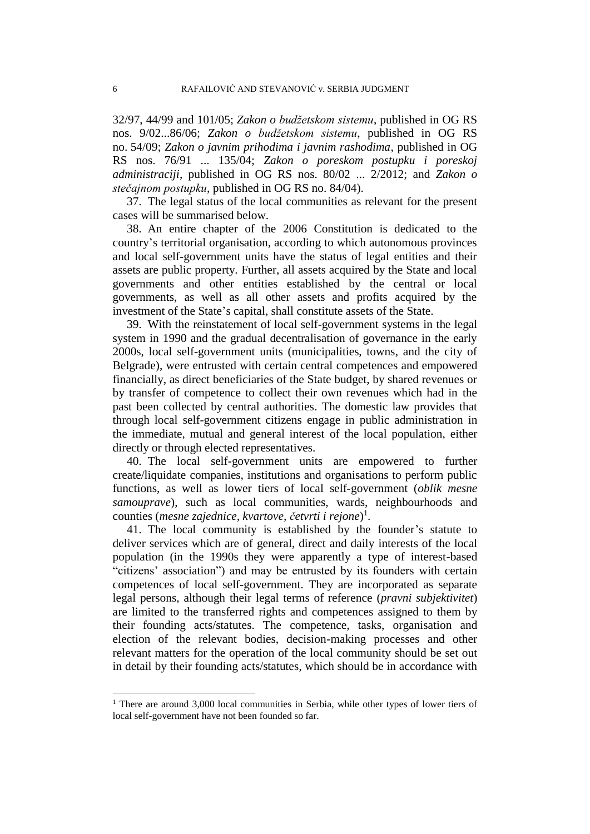32/97, 44/99 and 101/05; *Zakon o budžetskom sistemu*, published in OG RS nos. 9/02...86/06; *Zakon o budžetskom sistemu*, published in OG RS no. 54/09; *Zakon o javnim prihodima i javnim rashodima*, published in OG RS nos. 76/91 ... 135/04; *Zakon o poreskom postupku i poreskoj administraciji*, published in OG RS nos. 80/02 ... 2/2012; and *Zakon o stečajnom postupku*, published in OG RS no. 84/04).

37. The legal status of the local communities as relevant for the present cases will be summarised below.

38. An entire chapter of the 2006 Constitution is dedicated to the country's territorial organisation, according to which autonomous provinces and local self-government units have the status of legal entities and their assets are public property. Further, all assets acquired by the State and local governments and other entities established by the central or local governments, as well as all other assets and profits acquired by the investment of the State's capital, shall constitute assets of the State.

39. With the reinstatement of local self-government systems in the legal system in 1990 and the gradual decentralisation of governance in the early 2000s, local self-government units (municipalities, towns, and the city of Belgrade), were entrusted with certain central competences and empowered financially, as direct beneficiaries of the State budget, by shared revenues or by transfer of competence to collect their own revenues which had in the past been collected by central authorities. The domestic law provides that through local self-government citizens engage in public administration in the immediate, mutual and general interest of the local population, either directly or through elected representatives.

40. The local self-government units are empowered to further create/liquidate companies, institutions and organisations to perform public functions, as well as lower tiers of local self-government (*oblik mesne samouprave*), such as local communities, wards, neighbourhoods and counties (*mesne zajednice, kvartove, četvrti i rejone*) 1 .

41. The local community is established by the founder's statute to deliver services which are of general, direct and daily interests of the local population (in the 1990s they were apparently a type of interest-based "citizens' association") and may be entrusted by its founders with certain competences of local self-government. They are incorporated as separate legal persons, although their legal terms of reference (*pravni subjektivitet*) are limited to the transferred rights and competences assigned to them by their founding acts/statutes. The competence, tasks, organisation and election of the relevant bodies, decision-making processes and other relevant matters for the operation of the local community should be set out in detail by their founding acts/statutes, which should be in accordance with

 $\overline{a}$ 

<sup>&</sup>lt;sup>1</sup> There are around 3,000 local communities in Serbia, while other types of lower tiers of local self-government have not been founded so far.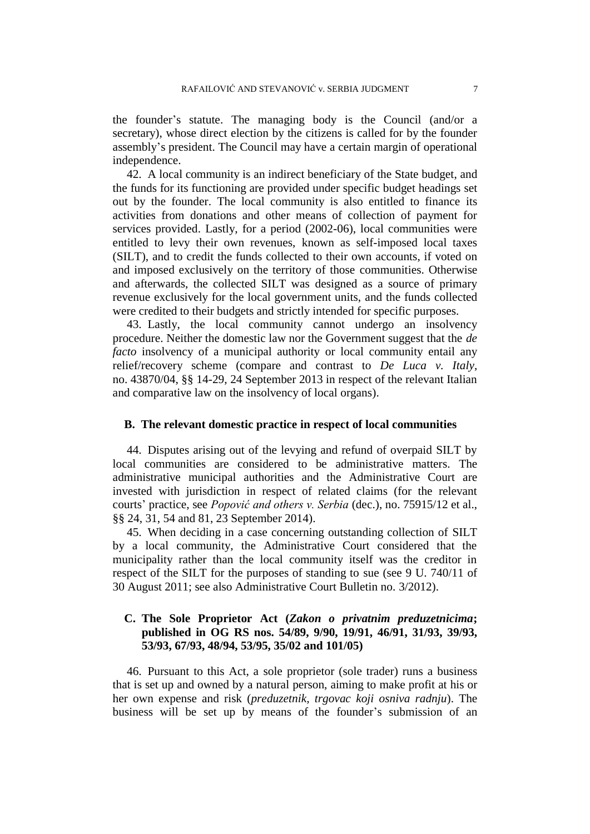the founder's statute. The managing body is the Council (and/or a secretary), whose direct election by the citizens is called for by the founder assembly's president. The Council may have a certain margin of operational independence.

42. A local community is an indirect beneficiary of the State budget, and the funds for its functioning are provided under specific budget headings set out by the founder. The local community is also entitled to finance its activities from donations and other means of collection of payment for services provided. Lastly, for a period (2002-06), local communities were entitled to levy their own revenues, known as self-imposed local taxes (SILT), and to credit the funds collected to their own accounts, if voted on and imposed exclusively on the territory of those communities. Otherwise and afterwards, the collected SILT was designed as a source of primary revenue exclusively for the local government units, and the funds collected were credited to their budgets and strictly intended for specific purposes.

43. Lastly, the local community cannot undergo an insolvency procedure. Neither the domestic law nor the Government suggest that the *de facto* insolvency of a municipal authority or local community entail any relief/recovery scheme (compare and contrast to *De Luca v. Italy*, no. 43870/04, §§ 14-29, 24 September 2013 in respect of the relevant Italian and comparative law on the insolvency of local organs).

#### **B. The relevant domestic practice in respect of local communities**

44. Disputes arising out of the levying and refund of overpaid SILT by local communities are considered to be administrative matters. The administrative municipal authorities and the Administrative Court are invested with jurisdiction in respect of related claims (for the relevant courts' practice, see *Popović and others v. Serbia* (dec.), no. 75915/12 et al., §§ 24, 31, 54 and 81, 23 September 2014).

45. When deciding in a case concerning outstanding collection of SILT by a local community, the Administrative Court considered that the municipality rather than the local community itself was the creditor in respect of the SILT for the purposes of standing to sue (see 9 U. 740/11 of 30 August 2011; see also Administrative Court Bulletin no. 3/2012).

# **C. The Sole Proprietor Act (***Zakon o privatnim preduzetnicima***; published in OG RS nos. 54/89, 9/90, 19/91, 46/91, 31/93, 39/93, 53/93, 67/93, 48/94, 53/95, 35/02 and 101/05)**

46. Pursuant to this Act, a sole proprietor (sole trader) runs a business that is set up and owned by a natural person, aiming to make profit at his or her own expense and risk (*preduzetnik, trgovac koji osniva radnju*). The business will be set up by means of the founder's submission of an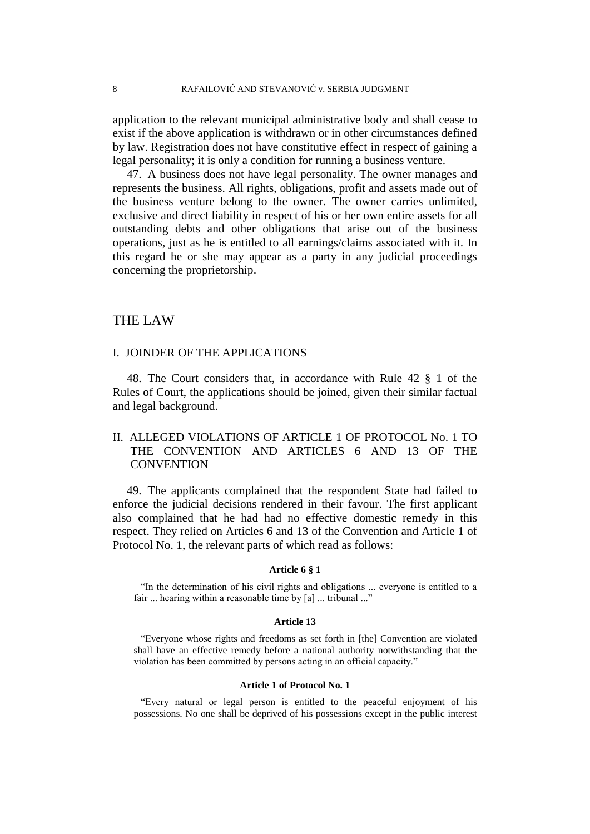application to the relevant municipal administrative body and shall cease to exist if the above application is withdrawn or in other circumstances defined by law. Registration does not have constitutive effect in respect of gaining a legal personality; it is only a condition for running a business venture.

47. A business does not have legal personality. The owner manages and represents the business. All rights, obligations, profit and assets made out of the business venture belong to the owner. The owner carries unlimited, exclusive and direct liability in respect of his or her own entire assets for all outstanding debts and other obligations that arise out of the business operations, just as he is entitled to all earnings/claims associated with it. In this regard he or she may appear as a party in any judicial proceedings concerning the proprietorship.

# THE LAW

## I. JOINDER OF THE APPLICATIONS

48. The Court considers that, in accordance with Rule 42 § 1 of the Rules of Court, the applications should be joined, given their similar factual and legal background.

# II. ALLEGED VIOLATIONS OF ARTICLE 1 OF PROTOCOL No. 1 TO THE CONVENTION AND ARTICLES 6 AND 13 OF THE **CONVENTION**

49. The applicants complained that the respondent State had failed to enforce the judicial decisions rendered in their favour. The first applicant also complained that he had had no effective domestic remedy in this respect. They relied on Articles 6 and 13 of the Convention and Article 1 of Protocol No. 1, the relevant parts of which read as follows:

#### **Article 6 § 1**

"In the determination of his civil rights and obligations ... everyone is entitled to a fair ... hearing within a reasonable time by [a] ... tribunal ..."

#### **Article 13**

"Everyone whose rights and freedoms as set forth in [the] Convention are violated shall have an effective remedy before a national authority notwithstanding that the violation has been committed by persons acting in an official capacity."

#### **Article 1 of Protocol No. 1**

"Every natural or legal person is entitled to the peaceful enjoyment of his possessions. No one shall be deprived of his possessions except in the public interest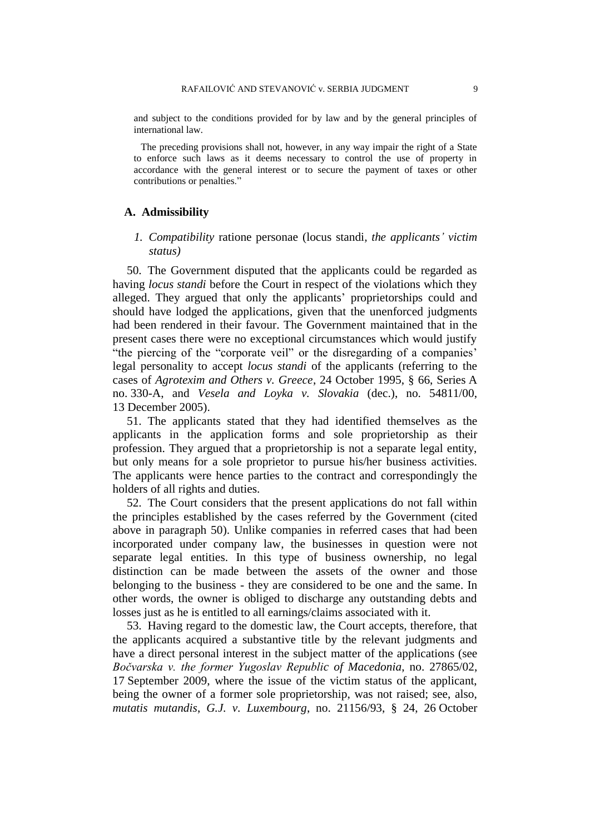and subject to the conditions provided for by law and by the general principles of international law.

The preceding provisions shall not, however, in any way impair the right of a State to enforce such laws as it deems necessary to control the use of property in accordance with the general interest or to secure the payment of taxes or other contributions or penalties."

## **A. Admissibility**

## *1. Compatibility* ratione personae (locus standi*, the applicants' victim status)*

50. The Government disputed that the applicants could be regarded as having *locus standi* before the Court in respect of the violations which they alleged. They argued that only the applicants' proprietorships could and should have lodged the applications, given that the unenforced judgments had been rendered in their favour. The Government maintained that in the present cases there were no exceptional circumstances which would justify "the piercing of the "corporate veil" or the disregarding of a companies' legal personality to accept *locus standi* of the applicants (referring to the cases of *Agrotexim and Others v. Greece*, 24 October 1995, § 66, Series A no. 330-A, and *Vesela and Loyka v. Slovakia* (dec.), no. 54811/00, 13 December 2005).

51. The applicants stated that they had identified themselves as the applicants in the application forms and sole proprietorship as their profession. They argued that a proprietorship is not a separate legal entity, but only means for a sole proprietor to pursue his/her business activities. The applicants were hence parties to the contract and correspondingly the holders of all rights and duties.

52. The Court considers that the present applications do not fall within the principles established by the cases referred by the Government (cited above in paragraph 50). Unlike companies in referred cases that had been incorporated under company law, the businesses in question were not separate legal entities. In this type of business ownership, no legal distinction can be made between the assets of the owner and those belonging to the business - they are considered to be one and the same. In other words, the owner is obliged to discharge any outstanding debts and losses just as he is entitled to all earnings/claims associated with it.

53. Having regard to the domestic law, the Court accepts, therefore, that the applicants acquired a substantive title by the relevant judgments and have a direct personal interest in the subject matter of the applications (see *Bočvarska v. the former Yugoslav Republic of Macedonia*, no. 27865/02, 17 September 2009, where the issue of the victim status of the applicant, being the owner of a former sole proprietorship, was not raised; see, also, *mutatis mutandis*, *G.J. v. Luxembourg*, no. 21156/93, § 24, 26 October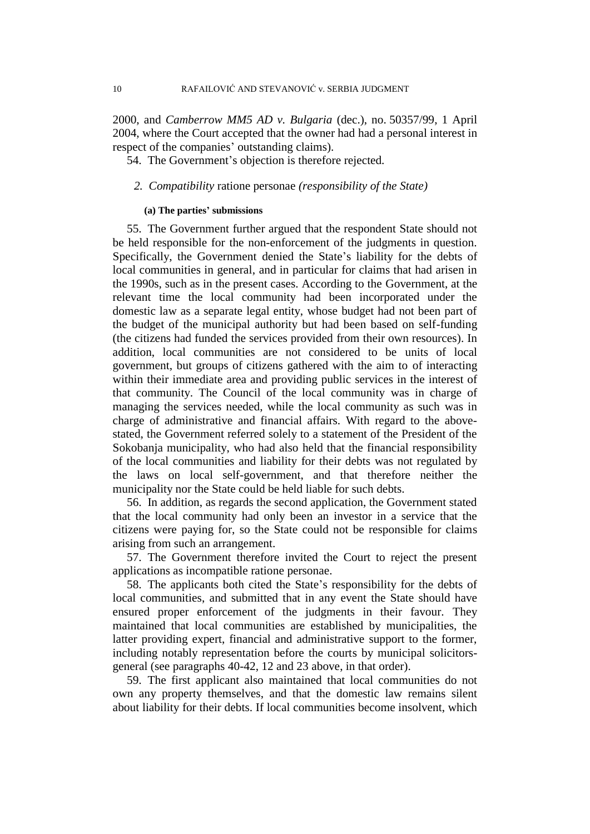2000, and *Camberrow MM5 AD v. Bulgaria* (dec.), no. 50357/99, 1 April 2004, where the Court accepted that the owner had had a personal interest in respect of the companies' outstanding claims).

54. The Government's objection is therefore rejected.

## *2. Compatibility* ratione personae *(responsibility of the State)*

#### **(a) The parties' submissions**

55. The Government further argued that the respondent State should not be held responsible for the non-enforcement of the judgments in question. Specifically, the Government denied the State's liability for the debts of local communities in general, and in particular for claims that had arisen in the 1990s, such as in the present cases. According to the Government, at the relevant time the local community had been incorporated under the domestic law as a separate legal entity, whose budget had not been part of the budget of the municipal authority but had been based on self-funding (the citizens had funded the services provided from their own resources). In addition, local communities are not considered to be units of local government, but groups of citizens gathered with the aim to of interacting within their immediate area and providing public services in the interest of that community. The Council of the local community was in charge of managing the services needed, while the local community as such was in charge of administrative and financial affairs. With regard to the abovestated, the Government referred solely to a statement of the President of the Sokobanja municipality, who had also held that the financial responsibility of the local communities and liability for their debts was not regulated by the laws on local self-government, and that therefore neither the municipality nor the State could be held liable for such debts.

56. In addition, as regards the second application, the Government stated that the local community had only been an investor in a service that the citizens were paying for, so the State could not be responsible for claims arising from such an arrangement.

57. The Government therefore invited the Court to reject the present applications as incompatible ratione personae.

58. The applicants both cited the State's responsibility for the debts of local communities, and submitted that in any event the State should have ensured proper enforcement of the judgments in their favour. They maintained that local communities are established by municipalities, the latter providing expert, financial and administrative support to the former, including notably representation before the courts by municipal solicitorsgeneral (see paragraphs 40-42, 12 and 23 above, in that order).

59. The first applicant also maintained that local communities do not own any property themselves, and that the domestic law remains silent about liability for their debts. If local communities become insolvent, which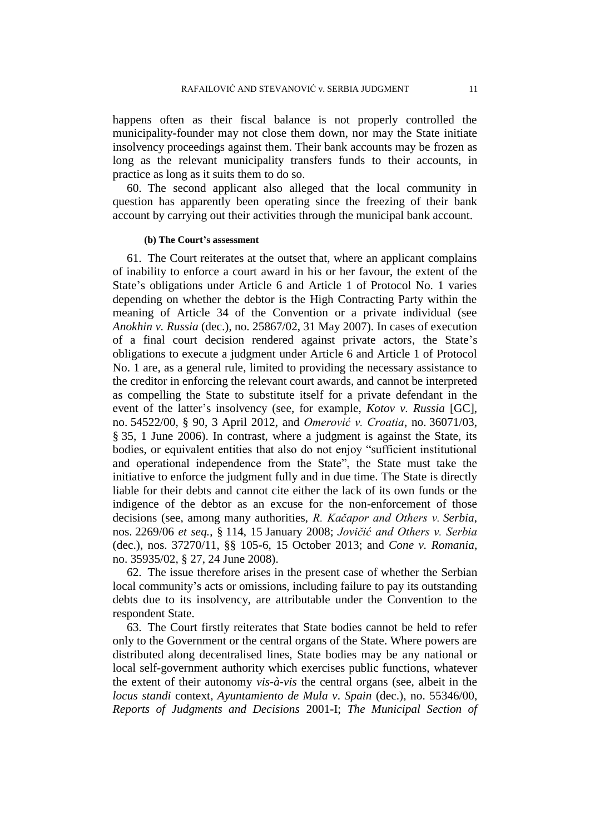happens often as their fiscal balance is not properly controlled the municipality-founder may not close them down, nor may the State initiate insolvency proceedings against them. Their bank accounts may be frozen as long as the relevant municipality transfers funds to their accounts, in practice as long as it suits them to do so.

60. The second applicant also alleged that the local community in question has apparently been operating since the freezing of their bank account by carrying out their activities through the municipal bank account.

#### **(b) The Court's assessment**

61. The Court reiterates at the outset that, where an applicant complains of inability to enforce a court award in his or her favour, the extent of the State's obligations under Article 6 and Article 1 of Protocol No. 1 varies depending on whether the debtor is the High Contracting Party within the meaning of Article 34 of the Convention or a private individual (see *Anokhin v. Russia* (dec.), no. 25867/02, 31 May 2007). In cases of execution of a final court decision rendered against private actors, the State's obligations to execute a judgment under Article 6 and Article 1 of Protocol No. 1 are, as a general rule, limited to providing the necessary assistance to the creditor in enforcing the relevant court awards, and cannot be interpreted as compelling the State to substitute itself for a private defendant in the event of the latter's insolvency (see, for example, *Kotov v. Russia* [GC], no. 54522/00, § 90, 3 April 2012, and *Omerović v. Croatia*, no. 36071/03, § 35, 1 June 2006). In contrast, where a judgment is against the State, its bodies, or equivalent entities that also do not enjoy "sufficient institutional and operational independence from the State", the State must take the initiative to enforce the judgment fully and in due time. The State is directly liable for their debts and cannot cite either the lack of its own funds or the indigence of the debtor as an excuse for the non-enforcement of those decisions (see, among many authorities, *R. Kačapor and Others v. Serbia*, nos. 2269/06 *et seq.*, § 114, 15 January 2008; *Jovičić and Others v. Serbia*  (dec.), nos. 37270/11, §§ 105-6, 15 October 2013; and *Cone v. Romania*, no. 35935/02, § 27, 24 June 2008).

62. The issue therefore arises in the present case of whether the Serbian local community's acts or omissions, including failure to pay its outstanding debts due to its insolvency, are attributable under the Convention to the respondent State.

63. The Court firstly reiterates that State bodies cannot be held to refer only to the Government or the central organs of the State. Where powers are distributed along decentralised lines, State bodies may be any national or local self-government authority which exercises public functions, whatever the extent of their autonomy *vis-à-vis* the central organs (see, albeit in the *locus standi* context, *Ayuntamiento de Mula v. Spain* (dec.), no. 55346/00, *Reports of Judgments and Decisions* 2001-I; *The Municipal Section of*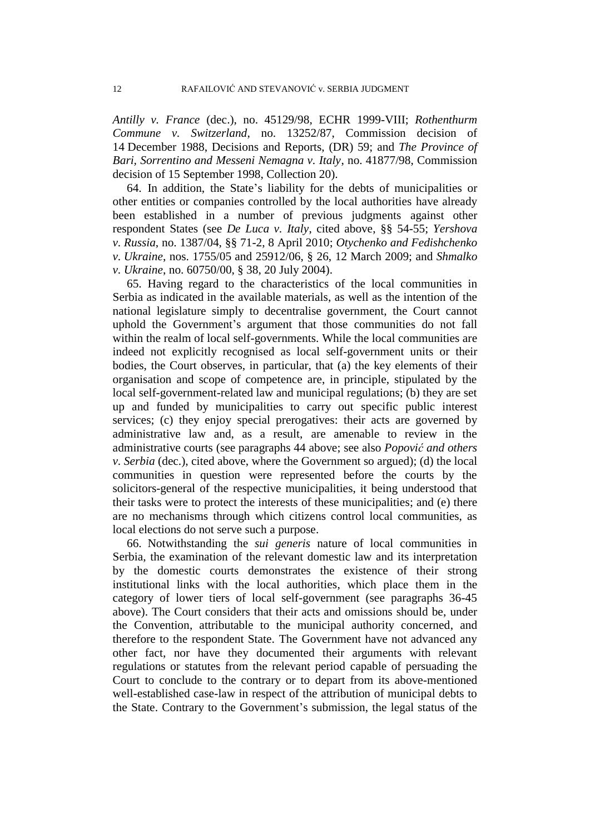*Antilly v. France* (dec.), no. 45129/98, ECHR 1999-VIII; *Rothenthurm Commune v. Switzerland*, no. 13252/87, Commission decision of 14 December 1988, Decisions and Reports, (DR) 59; and *The Province of Bari, Sorrentino and Messeni Nemagna v. Italy*, no. 41877/98, Commission decision of 15 September 1998, Collection 20).

64. In addition, the State's liability for the debts of municipalities or other entities or companies controlled by the local authorities have already been established in a number of previous judgments against other respondent States (see *De Luca v. Italy*, cited above, §§ 54-55; *Yershova v. Russia*, no. 1387/04, §§ 71-2, 8 April 2010; *Otychenko and Fedishchenko v. Ukraine*, nos. 1755/05 and 25912/06, § 26, 12 March 2009; and *Shmalko v. Ukraine*, no. 60750/00, § 38, 20 July 2004).

65. Having regard to the characteristics of the local communities in Serbia as indicated in the available materials, as well as the intention of the national legislature simply to decentralise government, the Court cannot uphold the Government's argument that those communities do not fall within the realm of local self-governments. While the local communities are indeed not explicitly recognised as local self-government units or their bodies, the Court observes, in particular, that (a) the key elements of their organisation and scope of competence are, in principle, stipulated by the local self-government-related law and municipal regulations; (b) they are set up and funded by municipalities to carry out specific public interest services; (c) they enjoy special prerogatives: their acts are governed by administrative law and, as a result, are amenable to review in the administrative courts (see paragraphs 44 above; see also *Popović and others v. Serbia* (dec.), cited above, where the Government so argued); (d) the local communities in question were represented before the courts by the solicitors-general of the respective municipalities, it being understood that their tasks were to protect the interests of these municipalities; and (e) there are no mechanisms through which citizens control local communities, as local elections do not serve such a purpose.

66. Notwithstanding the *sui generis* nature of local communities in Serbia, the examination of the relevant domestic law and its interpretation by the domestic courts demonstrates the existence of their strong institutional links with the local authorities, which place them in the category of lower tiers of local self-government (see paragraphs 36-45 above). The Court considers that their acts and omissions should be, under the Convention, attributable to the municipal authority concerned, and therefore to the respondent State. The Government have not advanced any other fact, nor have they documented their arguments with relevant regulations or statutes from the relevant period capable of persuading the Court to conclude to the contrary or to depart from its above-mentioned well-established case-law in respect of the attribution of municipal debts to the State. Contrary to the Government's submission, the legal status of the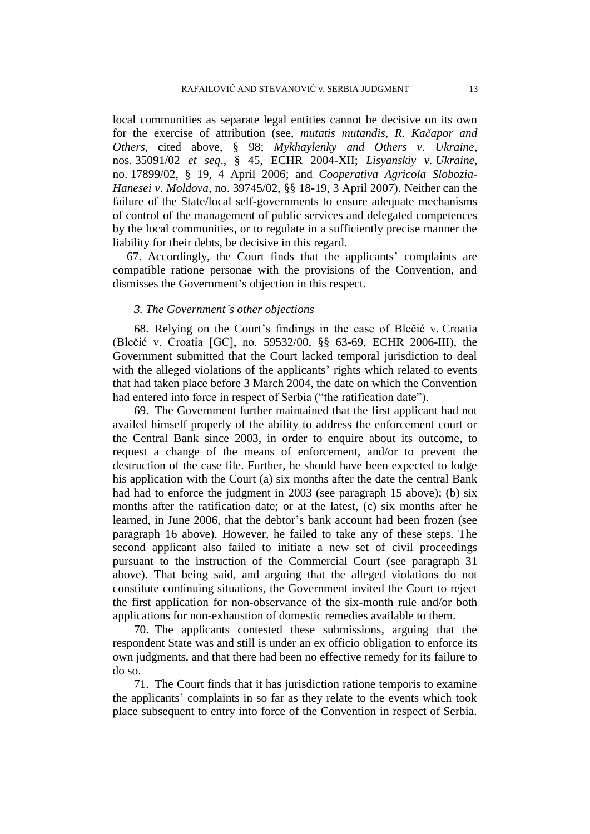local communities as separate legal entities cannot be decisive on its own for the exercise of attribution (see, *mutatis mutandis, R. Kačapor and Others,* cited above, § 98; *Mykhaylenky and Others v. Ukraine*, nos. 35091/02 *et seq*., § 45, ECHR 2004-XII; *Lisyanskiy v. Ukraine*, no. 17899/02, § 19, 4 April 2006; and *Cooperativa Agricola Slobozia-Hanesei v. Moldova*, no. 39745/02, §§ 18-19, 3 April 2007). Neither can the failure of the State/local self-governments to ensure adequate mechanisms of control of the management of public services and delegated competences by the local communities, or to regulate in a sufficiently precise manner the liability for their debts, be decisive in this regard.

67. Accordingly, the Court finds that the applicants' complaints are compatible ratione personae with the provisions of the Convention, and dismisses the Government's objection in this respect.

## *3. The Government's other objections*

68. Relying on the Court's findings in the case of Blečić v. Croatia (Blečić v. Croatia [GC], no. 59532/00, §§ 63-69, ECHR 2006-III), the Government submitted that the Court lacked temporal jurisdiction to deal with the alleged violations of the applicants' rights which related to events that had taken place before 3 March 2004, the date on which the Convention had entered into force in respect of Serbia ("the ratification date").

69. The Government further maintained that the first applicant had not availed himself properly of the ability to address the enforcement court or the Central Bank since 2003, in order to enquire about its outcome, to request a change of the means of enforcement, and/or to prevent the destruction of the case file. Further, he should have been expected to lodge his application with the Court (a) six months after the date the central Bank had had to enforce the judgment in 2003 (see paragraph 15 above); (b) six months after the ratification date; or at the latest, (c) six months after he learned, in June 2006, that the debtor's bank account had been frozen (see paragraph 16 above). However, he failed to take any of these steps. The second applicant also failed to initiate a new set of civil proceedings pursuant to the instruction of the Commercial Court (see paragraph 31 above). That being said, and arguing that the alleged violations do not constitute continuing situations, the Government invited the Court to reject the first application for non-observance of the six-month rule and/or both applications for non-exhaustion of domestic remedies available to them.

70. The applicants contested these submissions, arguing that the respondent State was and still is under an ex officio obligation to enforce its own judgments, and that there had been no effective remedy for its failure to do so.

71. The Court finds that it has jurisdiction ratione temporis to examine the applicants' complaints in so far as they relate to the events which took place subsequent to entry into force of the Convention in respect of Serbia.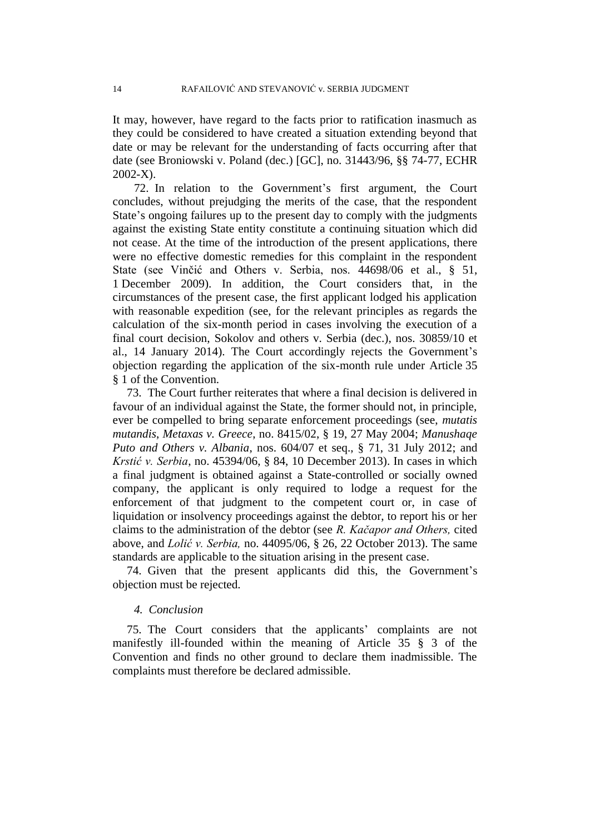It may, however, have regard to the facts prior to ratification inasmuch as they could be considered to have created a situation extending beyond that date or may be relevant for the understanding of facts occurring after that date (see Broniowski v. Poland (dec.) [GC], no. 31443/96, §§ 74-77, ECHR 2002-X).

72. In relation to the Government's first argument, the Court concludes, without prejudging the merits of the case, that the respondent State's ongoing failures up to the present day to comply with the judgments against the existing State entity constitute a continuing situation which did not cease. At the time of the introduction of the present applications, there were no effective domestic remedies for this complaint in the respondent State (see Vinčić and Others v. Serbia, nos. 44698/06 et al., § 51, 1 December 2009). In addition, the Court considers that, in the circumstances of the present case, the first applicant lodged his application with reasonable expedition (see, for the relevant principles as regards the calculation of the six-month period in cases involving the execution of a final court decision, Sokolov and others v. Serbia (dec.), nos. 30859/10 et al., 14 January 2014). The Court accordingly rejects the Government's objection regarding the application of the six-month rule under Article 35 § 1 of the Convention.

73. The Court further reiterates that where a final decision is delivered in favour of an individual against the State, the former should not, in principle, ever be compelled to bring separate enforcement proceedings (see, *mutatis mutandis*, *Metaxas v. Greece*, no. 8415/02, § 19, 27 May 2004; *Manushaqe Puto and Others v. Albania*, nos. 604/07 et seq., § 71, 31 July 2012; and *Krstić v. Serbia*, no. 45394/06, § 84, 10 December 2013). In cases in which a final judgment is obtained against a State-controlled or socially owned company, the applicant is only required to lodge a request for the enforcement of that judgment to the competent court or, in case of liquidation or insolvency proceedings against the debtor, to report his or her claims to the administration of the debtor (see *R. Kačapor and Others,* cited above, and *Lolić v. Serbia,* no. 44095/06, § 26, 22 October 2013). The same standards are applicable to the situation arising in the present case.

74. Given that the present applicants did this, the Government's objection must be rejected.

## *4. Conclusion*

75. The Court considers that the applicants' complaints are not manifestly ill-founded within the meaning of Article 35 § 3 of the Convention and finds no other ground to declare them inadmissible. The complaints must therefore be declared admissible.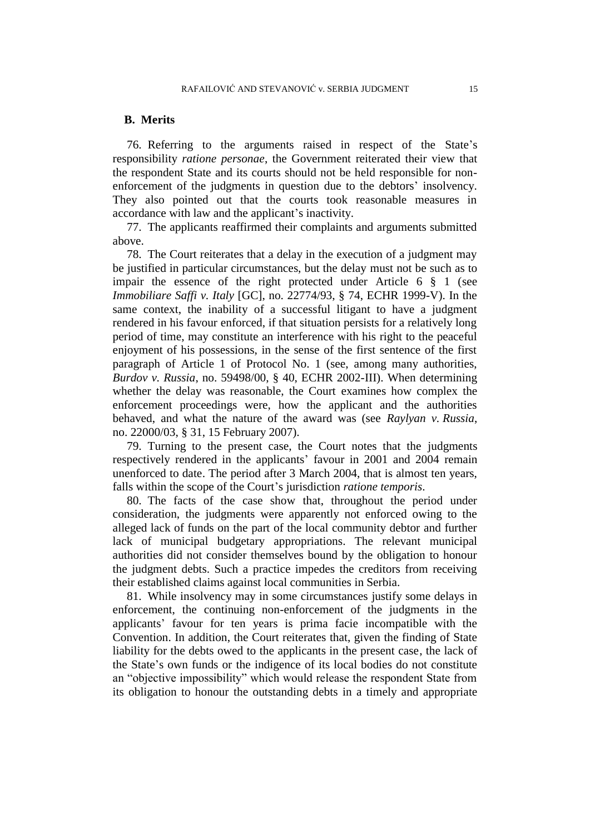#### **B. Merits**

76. Referring to the arguments raised in respect of the State's responsibility *ratione personae*, the Government reiterated their view that the respondent State and its courts should not be held responsible for nonenforcement of the judgments in question due to the debtors' insolvency. They also pointed out that the courts took reasonable measures in accordance with law and the applicant's inactivity.

77. The applicants reaffirmed their complaints and arguments submitted above.

78. The Court reiterates that a delay in the execution of a judgment may be justified in particular circumstances, but the delay must not be such as to impair the essence of the right protected under Article 6 § 1 (see *Immobiliare Saffi v. Italy* [GC], no. 22774/93, § 74, ECHR 1999-V). In the same context, the inability of a successful litigant to have a judgment rendered in his favour enforced, if that situation persists for a relatively long period of time, may constitute an interference with his right to the peaceful enjoyment of his possessions, in the sense of the first sentence of the first paragraph of Article 1 of Protocol No. 1 (see, among many authorities, *Burdov v. Russia*, no. 59498/00, § 40, ECHR 2002-III). When determining whether the delay was reasonable, the Court examines how complex the enforcement proceedings were, how the applicant and the authorities behaved, and what the nature of the award was (see *Raylyan v. Russia*, no. [22000/03,](http://hudoc.echr.coe.int/sites/eng/Pages/search.aspx#{"appno":["22000/03"]}) § 31, 15 February 2007).

79. Turning to the present case, the Court notes that the judgments respectively rendered in the applicants' favour in 2001 and 2004 remain unenforced to date. The period after 3 March 2004, that is almost ten years, falls within the scope of the Court's jurisdiction *ratione temporis*.

80. The facts of the case show that, throughout the period under consideration, the judgments were apparently not enforced owing to the alleged lack of funds on the part of the local community debtor and further lack of municipal budgetary appropriations. The relevant municipal authorities did not consider themselves bound by the obligation to honour the judgment debts. Such a practice impedes the creditors from receiving their established claims against local communities in Serbia.

81. While insolvency may in some circumstances justify some delays in enforcement, the continuing non-enforcement of the judgments in the applicants' favour for ten years is prima facie incompatible with the Convention. In addition, the Court reiterates that, given the finding of State liability for the debts owed to the applicants in the present case, the lack of the State's own funds or the indigence of its local bodies do not constitute an "objective impossibility" which would release the respondent State from its obligation to honour the outstanding debts in a timely and appropriate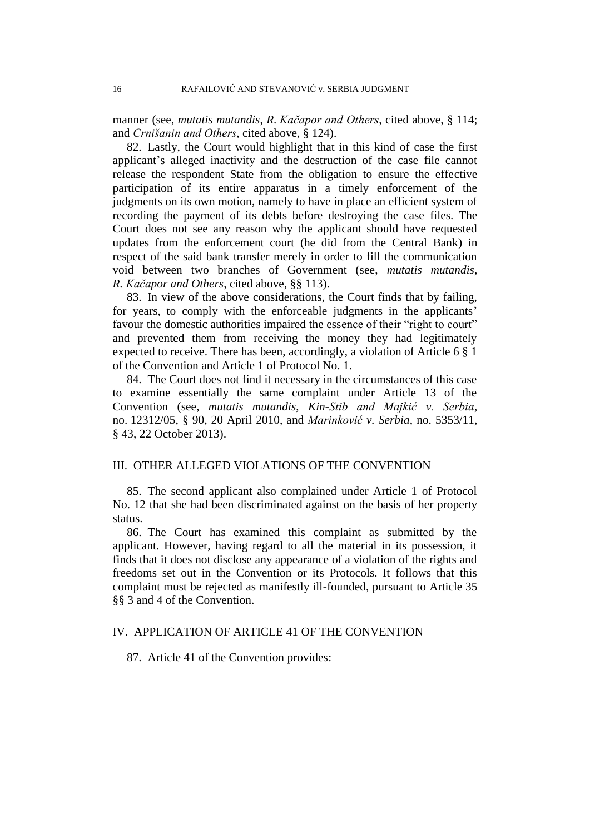manner (see, *mutatis mutandis*, *R. Kačapor and Others*, cited above, § 114; and *Crnišanin and Others*, cited above, § 124).

82. Lastly, the Court would highlight that in this kind of case the first applicant's alleged inactivity and the destruction of the case file cannot release the respondent State from the obligation to ensure the effective participation of its entire apparatus in a timely enforcement of the judgments on its own motion, namely to have in place an efficient system of recording the payment of its debts before destroying the case files. The Court does not see any reason why the applicant should have requested updates from the enforcement court (he did from the Central Bank) in respect of the said bank transfer merely in order to fill the communication void between two branches of Government (see, *mutatis mutandis*, *R. Kačapor and Others*, cited above, §§ 113).

83. In view of the above considerations, the Court finds that by failing, for years, to comply with the enforceable judgments in the applicants' favour the domestic authorities impaired the essence of their "right to court" and prevented them from receiving the money they had legitimately expected to receive. There has been, accordingly, a violation of Article 6 § 1 of the Convention and Article 1 of Protocol No. 1.

84. The Court does not find it necessary in the circumstances of this case to examine essentially the same complaint under Article 13 of the Convention (see, *mutatis mutandis*, *Kin-Stib and Majkić v. Serbia*, no. 12312/05, § 90, 20 April 2010, and *Marinković v. Serbia*, no. 5353/11, § 43, 22 October 2013).

# III. OTHER ALLEGED VIOLATIONS OF THE CONVENTION

85. The second applicant also complained under Article 1 of Protocol No. 12 that she had been discriminated against on the basis of her property status.

86. The Court has examined this complaint as submitted by the applicant. However, having regard to all the material in its possession, it finds that it does not disclose any appearance of a violation of the rights and freedoms set out in the Convention or its Protocols. It follows that this complaint must be rejected as manifestly ill-founded, pursuant to Article 35 §§ 3 and 4 of the Convention.

#### IV. APPLICATION OF ARTICLE 41 OF THE CONVENTION

87. Article 41 of the Convention provides: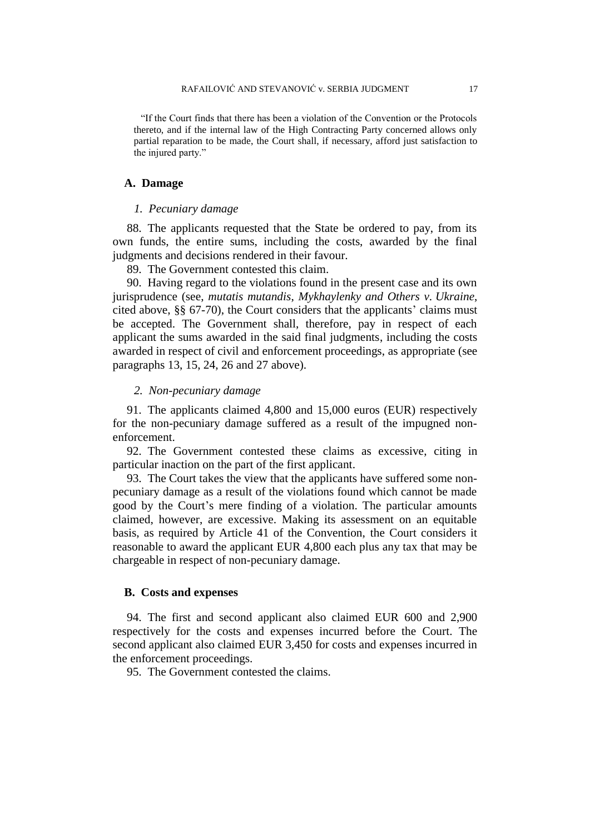"If the Court finds that there has been a violation of the Convention or the Protocols thereto, and if the internal law of the High Contracting Party concerned allows only partial reparation to be made, the Court shall, if necessary, afford just satisfaction to the injured party."

#### **A. Damage**

#### *1. Pecuniary damage*

88. The applicants requested that the State be ordered to pay, from its own funds, the entire sums, including the costs, awarded by the final judgments and decisions rendered in their favour.

89. The Government contested this claim.

90. Having regard to the violations found in the present case and its own jurisprudence (see, *mutatis mutandis*, *Mykhaylenky and Others v. Ukraine*, cited above, §§ 67-70), the Court considers that the applicants' claims must be accepted. The Government shall, therefore, pay in respect of each applicant the sums awarded in the said final judgments, including the costs awarded in respect of civil and enforcement proceedings, as appropriate (see paragraphs 13, 15, 24, 26 and 27 above).

#### *2. Non-pecuniary damage*

91. The applicants claimed 4,800 and 15,000 euros (EUR) respectively for the non-pecuniary damage suffered as a result of the impugned nonenforcement.

92. The Government contested these claims as excessive, citing in particular inaction on the part of the first applicant.

93. The Court takes the view that the applicants have suffered some nonpecuniary damage as a result of the violations found which cannot be made good by the Court's mere finding of a violation. The particular amounts claimed, however, are excessive. Making its assessment on an equitable basis, as required by Article 41 of the Convention, the Court considers it reasonable to award the applicant EUR 4,800 each plus any tax that may be chargeable in respect of non-pecuniary damage.

## **B. Costs and expenses**

94. The first and second applicant also claimed EUR 600 and 2,900 respectively for the costs and expenses incurred before the Court. The second applicant also claimed EUR 3,450 for costs and expenses incurred in the enforcement proceedings.

95. The Government contested the claims.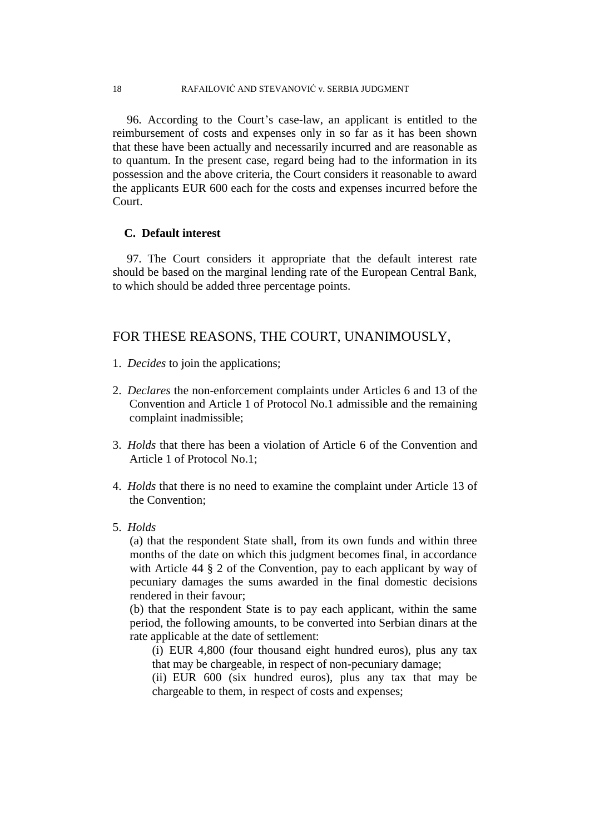18 RAFAILOVIĆ AND STEVANOVIĆ v. SERBIA JUDGMENT

96.According to the Court's case-law, an applicant is entitled to the reimbursement of costs and expenses only in so far as it has been shown that these have been actually and necessarily incurred and are reasonable as to quantum. In the present case, regard being had to the information in its possession and the above criteria, the Court considers it reasonable to award the applicants EUR 600 each for the costs and expenses incurred before the Court.

# **C. Default interest**

97. The Court considers it appropriate that the default interest rate should be based on the marginal lending rate of the European Central Bank, to which should be added three percentage points.

# FOR THESE REASONS, THE COURT, UNANIMOUSLY,

- 1. *Decides* to join the applications;
- 2. *Declares* the non-enforcement complaints under Articles 6 and 13 of the Convention and Article 1 of Protocol No.1 admissible and the remaining complaint inadmissible;
- 3. *Holds* that there has been a violation of Article 6 of the Convention and Article 1 of Protocol No.1;
- 4. *Holds* that there is no need to examine the complaint under Article 13 of the Convention;
- 5. *Holds*

(a) that the respondent State shall, from its own funds and within three months of the date on which this judgment becomes final, in accordance with Article 44 § 2 of the Convention, pay to each applicant by way of pecuniary damages the sums awarded in the final domestic decisions rendered in their favour;

(b) that the respondent State is to pay each applicant, within the same period, the following amounts, to be converted into Serbian dinars at the rate applicable at the date of settlement:

(i) EUR 4,800 (four thousand eight hundred euros), plus any tax that may be chargeable, in respect of non-pecuniary damage;

(ii) EUR 600 (six hundred euros), plus any tax that may be chargeable to them, in respect of costs and expenses;